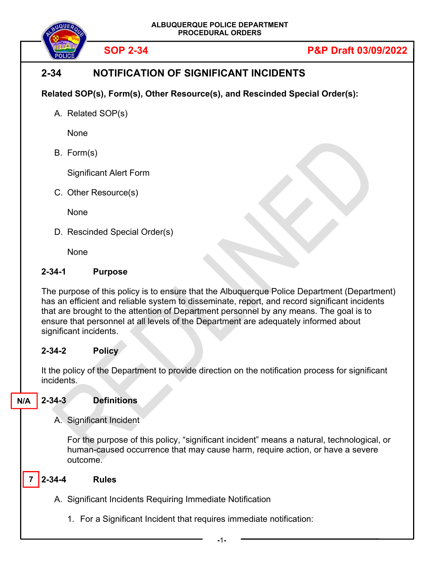

# **2-34 NOTIFICATION OF SIGNIFICANT INCIDENTS**

**Related SOP(s), Form(s), Other Resource(s), and Rescinded Special Order(s):** 

A. Related SOP(s)

None

B. Form(s)

Significant Alert Form

C. Other Resource(s)

None

D. Rescinded Special Order(s)

None

#### **2-34-1 Purpose**

The purpose of this policy is to ensure that the Albuquerque Police Department (Department) has an efficient and reliable system to disseminate, report, and record significant incidents that are brought to the attention of Department personnel by any means. The goal is to ensure that personnel at all levels of the Department are adequately informed about significant incidents.

#### **2-34-2 Policy**

It the policy of the Department to provide direction on the notification process for significant incidents.

**2-34-3 Definitions N/A** 

#### A. Significant Incident

For the purpose of this policy, "significant incident" means a natural, technological, or human-caused occurrence that may cause harm, require action, or have a severe outcome.

#### **2-34-4 Rules 7**

- A. Significant Incidents Requiring Immediate Notification
	- 1. For a Significant Incident that requires immediate notification: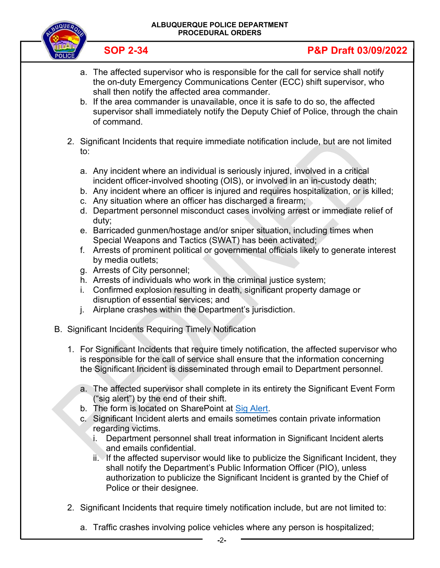#### **ALBUQUERQUE POLICE DEPARTMENT PROCEDURAL ORDERS**



# **SOP 2-34 P&P Draft 03/09/2022**

- a. The affected supervisor who is responsible for the call for service shall notify the on-duty Emergency Communications Center (ECC) shift supervisor, who shall then notify the affected area commander.
- b. If the area commander is unavailable, once it is safe to do so, the affected supervisor shall immediately notify the Deputy Chief of Police, through the chain of command.
- 2. Significant Incidents that require immediate notification include, but are not limited to:
	- a. Any incident where an individual is seriously injured, involved in a critical incident officer-involved shooting (OIS), or involved in an in-custody death;
	- b. Any incident where an officer is injured and requires hospitalization, or is killed;
	- c. Any situation where an officer has discharged a firearm;
	- d. Department personnel misconduct cases involving arrest or immediate relief of duty;
	- e. Barricaded gunmen/hostage and/or sniper situation, including times when Special Weapons and Tactics (SWAT) has been activated;
	- f. Arrests of prominent political or governmental officials likely to generate interest by media outlets;
	- g. Arrests of City personnel;
	- h. Arrests of individuals who work in the criminal justice system;
	- i. Confirmed explosion resulting in death, significant property damage or disruption of essential services; and
	- j. Airplane crashes within the Department's jurisdiction.
- B. Significant Incidents Requiring Timely Notification
	- 1. For Significant Incidents that require timely notification, the affected supervisor who is responsible for the call of service shall ensure that the information concerning the Significant Incident is disseminated through email to Department personnel.
		- a. The affected supervisor shall complete in its entirety the Significant Event Form ("sig alert") by the end of their shift.
		- b. The form is located on SharePoint at Sig Alert.
		- c. Significant Incident alerts and emails sometimes contain private information regarding victims.
			- i. Department personnel shall treat information in Significant Incident alerts and emails confidential.
			- ii. If the affected supervisor would like to publicize the Significant Incident, they shall notify the Department's Public Information Officer (PIO), unless authorization to publicize the Significant Incident is granted by the Chief of Police or their designee.
	- 2. Significant Incidents that require timely notification include, but are not limited to:
		- a. Traffic crashes involving police vehicles where any person is hospitalized;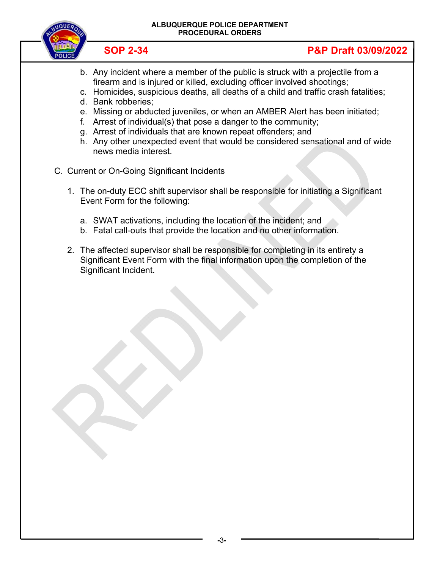

- b. Any incident where a member of the public is struck with a projectile from a firearm and is injured or killed, excluding officer involved shootings;
- c. Homicides, suspicious deaths, all deaths of a child and traffic crash fatalities;
- d. Bank robberies;
- e. Missing or abducted juveniles, or when an AMBER Alert has been initiated;
- f. Arrest of individual(s) that pose a danger to the community;
- g. Arrest of individuals that are known repeat offenders; and
- h. Any other unexpected event that would be considered sensational and of wide news media interest.
- C. Current or On-Going Significant Incidents
	- 1. The on-duty ECC shift supervisor shall be responsible for initiating a Significant Event Form for the following:
		- a. SWAT activations, including the location of the incident; and
		- b. Fatal call-outs that provide the location and no other information.
	- 2. The affected supervisor shall be responsible for completing in its entirety a Significant Event Form with the final information upon the completion of the Significant Incident.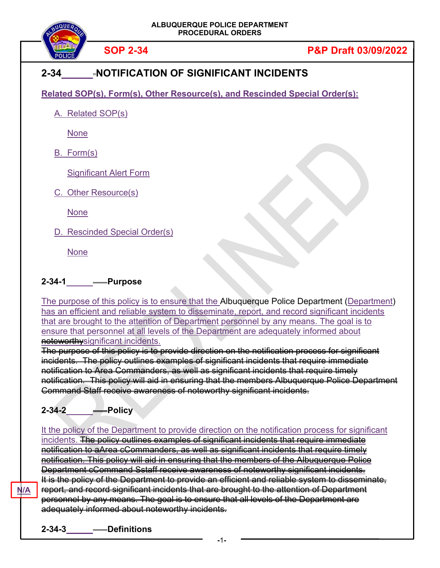

#### **2-34 NOTIFICATION OF SIGNIFICANT INCIDENTS**

**Related SOP(s), Form(s), Other Resource(s), and Rescinded Special Order(s):** 

A. Related SOP(s)

None

B. Form(s)

Significant Alert Form

C. Other Resource(s)

None

D. Rescinded Special Order(s)

None

#### **2-34-1 Purpose**

The purpose of this policy is to ensure that the Albuquerque Police Department (Department) has an efficient and reliable system to disseminate, report, and record significant incidents that are brought to the attention of Department personnel by any means. The goal is to ensure that personnel at all levels of the Department are adequately informed about noteworthysignificant incidents.

The purpose of this policy is to provide direction on the notification process for significant incidents. The policy outlines examples of significant incidents that require immediate notification to Area Commanders, as well as significant incidents that require timely notification. This policy will aid in ensuring that the members Albuquerque Police Department Command Staff receive awareness of noteworthy significant incidents.

# **2-34-2 Policy**

It the policy of the Department to provide direction on the notification process for significant incidents. The policy outlines examples of significant incidents that require immediate notification to aArea cCommanders, as well as significant incidents that require timely notification. This policy will aid in ensuring that the members of the Albuquerque Police Department cCommand Sstaff receive awareness of noteworthy significant incidents. It is the policy of the Department to provide an efficient and reliable system to disseminate, report, and record significant incidents that are brought to the attention of Department personnel by any means. The goal is to ensure that all levels of the Department are adequately informed about noteworthy incidents.

**N/A**

**2-34-3 Definitions**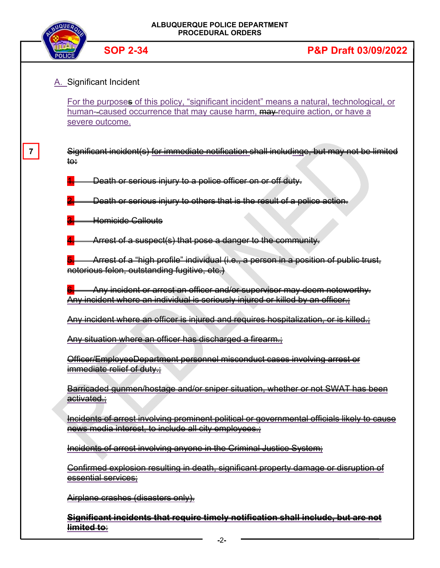



**7** 

#### **SOP 2-34 P&P Draft 03/09/2022**

#### A. Significant Incident

For the purposes of this policy, "significant incident" means a natural, technological, or human--caused occurrence that may cause harm, may require action, or have a severe outcome.

| Significant incident(s) for immediate netification shall including shut may not be limited<br><u>oranmoant moldontro i loi mimiodidto notinoditon onan moldanido. Dat may not bo mimtod</u> |  |  |  |
|---------------------------------------------------------------------------------------------------------------------------------------------------------------------------------------------|--|--|--|
|                                                                                                                                                                                             |  |  |  |

Death or serious injury to a police officer on or off duty.

Death or serious injury to others that is the result of a police action.

Homicide Callouts

Arrest of a suspect(s) that pose a danger to the community.

Arrest of a "high profile" individual (i.e., a person in a position of public trust, notorious felon, outstanding fugitive, etc.)

Any incident or arrest an officer and/or supervisor may deem noteworthy. Any incident where an individual is seriously injured or killed by an officer.;

Any incident where an officer is injured and requires hospitalization, or is killed.;

Any situation where an officer has discharged a firearm.;

Officer/EmployeeDepartment personnel misconduct cases involving arrest or immediate relief of duty.;

Barricaded gunmen/hostage and/or sniper situation, whether or not SWAT has been activated.;

Incidents of arrest involving prominent political or governmental officials likely to cause news media interest, to include all city employees.

Incidents of arrest involving anyone in the Criminal Justice System;

Confirmed explosion resulting in death, significant property damage or disruption of essential services;

Airplane crashes (disasters only).

**Significant incidents that require timely notification shall include, but are not limited to**: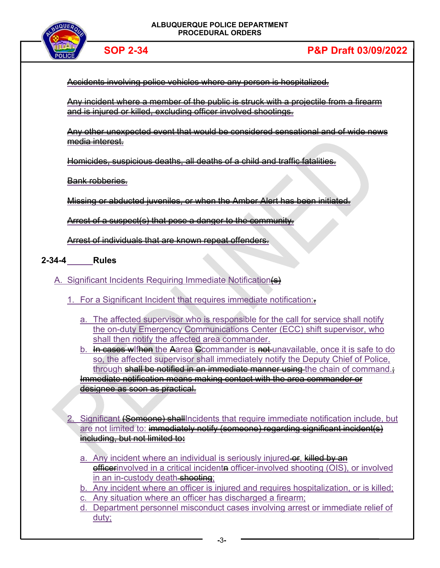



Accidents involving police vehicles where any person is hospitalized.

Any incident where a member of the public is struck with a projectile from a firearm and is injured or killed, excluding officer involved shootings.

Any other unexpected event that would be considered sensational and of wide news media interest.

Homicides, suspicious deaths, all deaths of a child and traffic fatalities.

Bank robberies.

Missing or abducted juveniles, or when the Amber Alert has been initiated.

Arrest of a suspect(s) that pose a danger to the community.

Arrest of individuals that are known repeat offenders.

**2-34-4 Rules** 

A. Significant Incidents Requiring Immediate Notification(s)

- 1. For a Significant Incident that requires immediate notification:.
	- a. The affected supervisor who is responsible for the call for service shall notify the on-duty Emergency Communications Center (ECC) shift supervisor, who shall then notify the affected area commander.
	- b. In cases wiften the Aarea Commander is not unavailable, once it is safe to do so, the affected supervisor shall immediately notify the Deputy Chief of Police, through shall be notified in an immediate manner using the chain of command. Immediate notification means making contact with the area commander or designee as soon as practical.
- 2. Significant (Someone) shallIncidents that require immediate notification include, but are not limited to: immediately notify (someone) regarding significant incident(s) including, but not limited to**:**
	- a. Any incident where an individual is seriously injured or, killed by an **efficerinvolved in a critical incidente officer-involved shooting (OIS), or involved** in an in-custody death shooting;
	- b. Any incident where an officer is injured and requires hospitalization, or is killed;
	- Any situation where an officer has discharged a firearm;
	- d. Department personnel misconduct cases involving arrest or immediate relief of duty;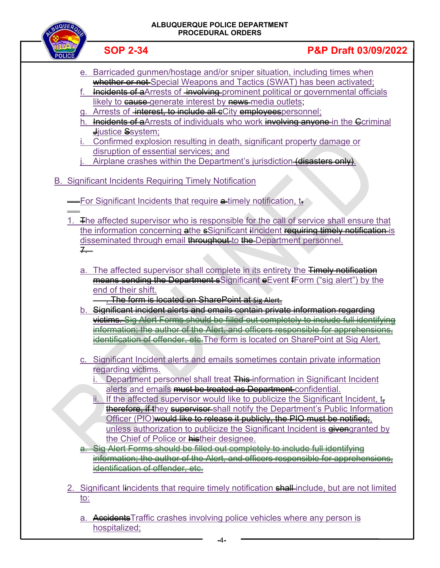| ALBUQUERQUE POLICE DEPARTMENT<br><b>PROCEDURAL ORDERS</b> |                                                                                                                                                                                                                                                                                                                                                                                                                                                  |                                                                                                                                                                                                                                                                                                                                                                |  |  |  |
|-----------------------------------------------------------|--------------------------------------------------------------------------------------------------------------------------------------------------------------------------------------------------------------------------------------------------------------------------------------------------------------------------------------------------------------------------------------------------------------------------------------------------|----------------------------------------------------------------------------------------------------------------------------------------------------------------------------------------------------------------------------------------------------------------------------------------------------------------------------------------------------------------|--|--|--|
|                                                           | <b>SOP 2-34</b>                                                                                                                                                                                                                                                                                                                                                                                                                                  | <b>P&amp;P Draft 03/09/2022</b>                                                                                                                                                                                                                                                                                                                                |  |  |  |
|                                                           | e. Barricaded gunmen/hostage and/or sniper situation, including times when<br>likely to cause generate interest by news media outlets;<br>g. Arrests of <del>interest, to include all c</del> City employees personnel;<br>$J$ justice Ssystem;<br>i. Confirmed explosion resulting in death, significant property damage or<br>disruption of essential services; and<br>Airplane crashes within the Department's jurisdiction-(disasters only). | whether or not-Special Weapons and Tactics (SWAT) has been activated;<br>Incidents of a Arrests of involving prominent political or governmental officials<br>Incidents of a Arrests of individuals who work involving anyone in the Coriminal                                                                                                                 |  |  |  |
|                                                           | <b>B. Significant Incidents Requiring Timely Notification</b>                                                                                                                                                                                                                                                                                                                                                                                    |                                                                                                                                                                                                                                                                                                                                                                |  |  |  |
|                                                           | -For Significant Incidents that require a timely notification, to                                                                                                                                                                                                                                                                                                                                                                                |                                                                                                                                                                                                                                                                                                                                                                |  |  |  |
| $7 -$                                                     | disseminated through email throughout to the Department personnel.                                                                                                                                                                                                                                                                                                                                                                               | 1. The affected supervisor who is responsible for the call of service shall ensure that<br>the information concerning athe sSignificant ilncident requiring timely notification is                                                                                                                                                                             |  |  |  |
|                                                           | end of their shift.<br><del>. The form is located on SharePoint at sig Alert.</del>                                                                                                                                                                                                                                                                                                                                                              | a. The affected supervisor shall complete in its entirety the Timely notification<br>means sending the Department sSignificant e Event fForm ("sig alert") by the<br>b. Significant incident alerts and emails contain private information regarding                                                                                                           |  |  |  |
|                                                           |                                                                                                                                                                                                                                                                                                                                                                                                                                                  | victims. Sig Alert Forms should be filled out completely to include full identifyi<br>nformation; the author of the Alert, and officers responsible for apprehensions,<br>identification of offender, etc. The form is located on SharePoint at Sig Alert.                                                                                                     |  |  |  |
|                                                           | regarding victims.<br>alerts and emails must be treated as Department confidential.                                                                                                                                                                                                                                                                                                                                                              | c. Significant Incident alerts and emails sometimes contain private information<br>Department personnel shall treat This-information in Significant Incident                                                                                                                                                                                                   |  |  |  |
|                                                           | Officer (PIO) would like to release it publicly, the PIO must be notified;<br>the Chief of Police or histheir designee.<br>Alert Forms should be filled out completely to include full identifyi<br>ntification of offender, etc.                                                                                                                                                                                                                | ii. If the affected supervisor would like to publicize the Significant Incident, $t_{\overline{z}}$<br><b>therefore, if they supervisor</b> shall notify the Department's Public Information<br>unless authorization to publicize the Significant Incident is givengranted by<br>rmation: the author of the Alert, and officers responsible for apprehensions. |  |  |  |
| <u>to:</u>                                                |                                                                                                                                                                                                                                                                                                                                                                                                                                                  | 2. Significant lincidents that require timely notification shall include, but are not limited                                                                                                                                                                                                                                                                  |  |  |  |
|                                                           | a. Accidents Traffic crashes involving police vehicles where any person is<br>hospitalized;                                                                                                                                                                                                                                                                                                                                                      |                                                                                                                                                                                                                                                                                                                                                                |  |  |  |

 **-**4**-**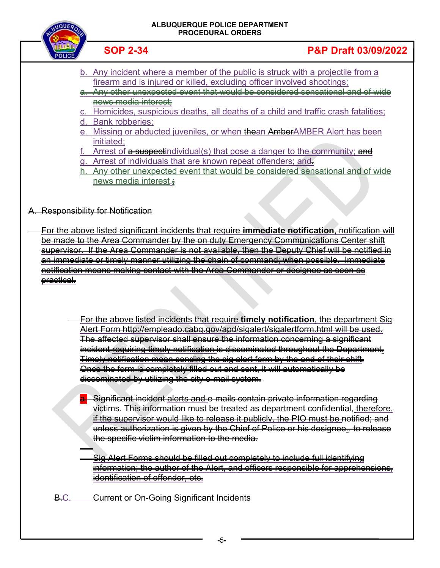| JEROIM       |  |
|--------------|--|
|              |  |
|              |  |
| <b>ILICE</b> |  |

#### **ALBUQUERQUE POLICE DEPARTMENT PROCEDURAL ORDERS**

#### **SOP 2-34 P&P Draft 03/09/2022**

- b. Any incident where a member of the public is struck with a projectile from a firearm and is injured or killed, excluding officer involved shootings;
- a. Any other unexpected event that would be considered sensational and of wide news media interest;
- c. Homicides, suspicious deaths, all deaths of a child and traffic crash fatalities; d. Bank robberies;
- e. Missing or abducted juveniles, or when thean AmberAMBER Alert has been initiated;
- Arrest of a suspectindividual(s) that pose a danger to the community; and
- g. Arrest of individuals that are known repeat offenders; and.
- h. Any other unexpected event that would be considered sensational and of wide news media interest.;

#### A. Responsibility for Notification

 For the above listed significant incidents that require **immediate notification**, notification will be made to the Area Commander by the on duty Emergency Communications Center shift supervisor. If the Area Commander is not available, then the Deputy Chief will be notified in an immediate or timely manner utilizing the chain of command; when possible. Immediate notification means making contact with the Area Commander or designee as soon as practical.

- For the above listed incidents that require **timely notification**, the department Sig Alert Form http://empleado.cabq.gov/apd/sigalert/sigalertform.html will be used. The affected supervisor shall ensure the information concerning a significant incident requiring timely notification is disseminated throughout the Department. Timely notification mean sending the sig alert form by the end of their shift. Once the form is completely filled out and sent, it will automatically be disseminated by utilizing the city e-mail system.
	- Significant incident alerts and e-mails contain private information regarding victims. This information must be treated as department confidential, therefore, if the supervisor would like to release it publicly, the PIO must be notified; and unless authorization is given by the Chief of Police or his designee.. to release the specific victim information to the media.
	- $\overline{a}$  Sig Alert Forms should be filled out completely to include full identifying information; the author of the Alert, and officers responsible for apprehensions, identification of offender, etc.
- **B.C.** Current or On-Going Significant Incidents